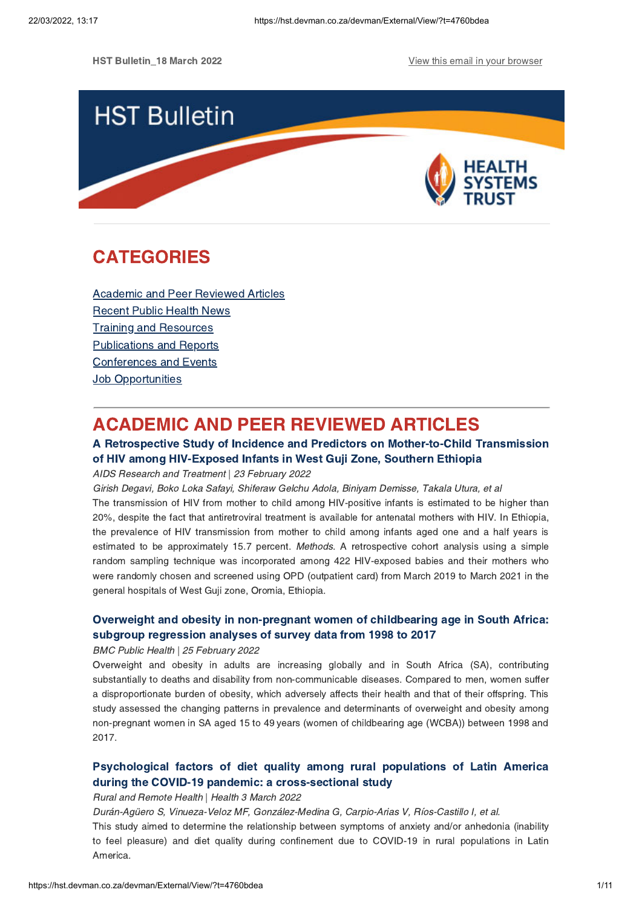

# <span id="page-0-1"></span>CATEGORIES

Academic and Peer [Reviewed](#page-0-0) Articles [Recent](#page-2-0) Public Health News Training and Resources [Publications](#page-8-0) and Reports [Conferences](#page-9-0) and Events **Job [Opportunities](#page-10-0)** 

# <span id="page-0-0"></span>ACADEMIC AND PEER REVIEWED ARTICLES

# A Retrospective Study of Incidence and Predictors on [Mother-to-Child](https://hst.devman.co.za/devman/external/?t=e119d335) Transmission of HIV among HIV-Exposed Infants in West Guji Zone, Southern Ethiopia

## AIDS Research and Treatment | 23 February 2022

general hospitals of West Guji zone, Oromia, Ethiopia.

Girish Degavi, Boko Loka Safayi, Shiferaw Gelchu Adola, Biniyam Demisse, Takala Utura, et al The transmission of HIV from mother to child among HIV-positive infants is estimated to be higher than 20%, despite the fact that antiretroviral treatment is available for antenatal mothers with HIV. In Ethiopia, the prevalence of HIV transmission from mother to child among infants aged one and a half years is estimated to be approximately 15.7 percent. Methods. A retrospective cohort analysis using a simple random sampling technique was incorporated among 422 HIV-exposed babies and their mothers who were randomly chosen and screened using OPD (outpatient card) from March 2019 to March 2021 in the

# Overweight and obesity in [non-pregnant](https://hst.devman.co.za/devman/external/?t=31eb1d94) women of childbearing age in South Africa: subgroup regression analyses of survey data from 1998 to 2017

### BMC Public Health | 25 February 2022

Overweight and obesity in adults are increasing globally and in South Africa (SA), contributing substantially to deaths and disability from non-communicable diseases. Compared to men, women suffer a disproportionate burden of obesity, which adversely affects their health and that of their offspring. This study assessed the changing patterns in prevalence and determinants of overweight and obesity among non-pregnant women in SA aged 15 to 49 years (women of childbearing age (WCBA)) between 1998 and 2017.

# Psychological factors of diet quality among rural populations of Latin America during the COVID-19 pandemic: a [cross-sectional](https://hst.devman.co.za/devman/external/?t=727f2973) study

# Rural and Remote Health | Health 3 March 2022

Durán-Agüero S, Vinueza-Veloz MF, González-Medina G, Carpio-Arias V, Ríos-Castillo I, et al.

This study aimed to determine the relationship between symptoms of anxiety and/or anhedonia (inability to feel pleasure) and diet quality during confinement due to COVID-19 in rural populations in Latin America.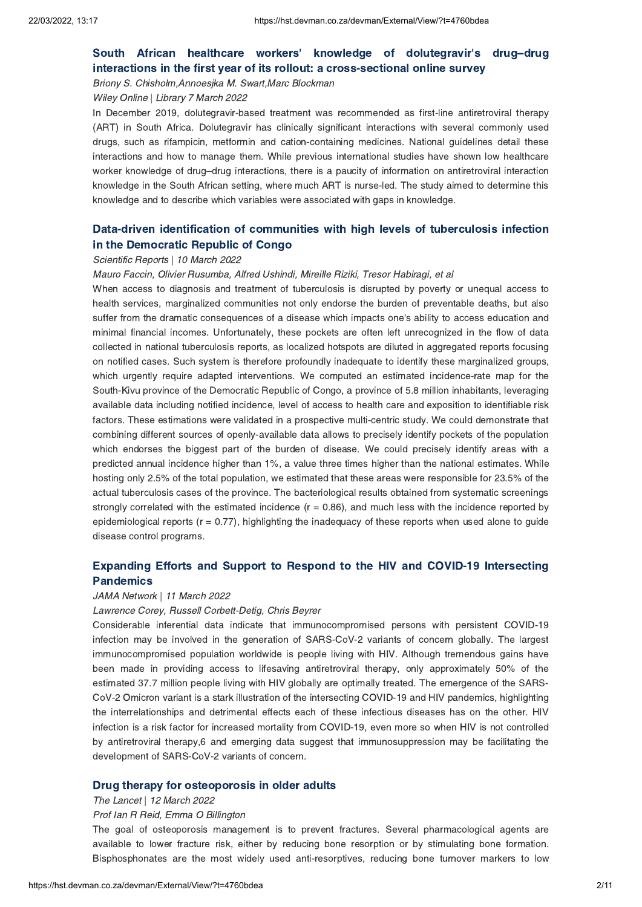# South African healthcare workers' knowledge of dolutegravir's drug–drug interactions in the first year of its rollout: a [cross-sectional](https://hst.devman.co.za/devman/external/?t=39fe35d2) online survey

Briony S. Chisholm,Annoesjka M. Swart,Marc Blockman

Wiley Online | Library 7 March 2022

In December 2019, dolutegravir-based treatment was recommended as first-line antiretroviral therapy (ART) in South Africa. Dolutegravir has clinically significant interactions with several commonly used drugs, such as rifampicin, metformin and cation-containing medicines. National guidelines detail these interactions and how to manage them. While previous international studies have shown low healthcare worker knowledge of drug–drug interactions, there is <sup>a</sup> paucity of information on antiretroviral interaction knowledge in the South African setting, where much ART is nurse-led. The study aimed to determine this knowledge and to describe which variables were associated with gaps in knowledge.

# Data-driven [identification](https://hst.devman.co.za/devman/external/?t=18f22b9) of communities with high levels of tuberculosis infection in the Democratic Republic of Congo

#### Scientific Reports | 10 March 2022

Mauro Faccin, Olivier Rusumba, Alfred Ushindi, Mireille Riziki, Tresor Habiragi, et al

When access to diagnosis and treatment of tuberculosis is disrupted by poverty or unequal access to health services, marginalized communities not only endorse the burden of preventable deaths, but also suffer from the dramatic consequences of a disease which impacts one's ability to access education and minimal financial incomes. Unfortunately, these pockets are often left unrecognized in the flow of data collected in national tuberculosis reports, as localized hotspots are diluted in aggregated reports focusing on notified cases. Such system is therefore profoundly inadequate to identify these marginalized groups, which urgently require adapted interventions. We computed an estimated incidence-rate map for the South-Kivu province of the Democratic Republic of Congo, a province of 5.8 million inhabitants, leveraging available data including notified incidence, level of access to health care and exposition to identifiable risk factors. These estimations were validated in a prospective multi-centric study. We could demonstrate that combining different sources of openly-available data allows to precisely identify pockets of the population which endorses the biggest part of the burden of disease. We could precisely identify areas with a predicted annual incidence higher than 1%, a value three times higher than the national estimates. While hosting only 2.5% of the total population, we estimated that these areas were responsible for 23.5% of the actual tuberculosis cases of the province. The bacteriological results obtained from systematic screenings strongly correlated with the estimated incidence  $(r = 0.86)$ , and much less with the incidence reported by epidemiological reports ( $r = 0.77$ ), highlighting the inadequacy of these reports when used alone to guide disease control programs.

# Expanding Efforts and Support to Respond to the HIV and COVID-19 [Intersecting](https://hst.devman.co.za/devman/external/?t=52606d18) Pandemics

#### JAMA Network | 11 March 2022

### Lawrence Corey, Russell Corbett-Detig, Chris Beyrer

Considerable inferential data indicate that immunocompromised persons with persistent COVID-19 infection may be involved in the generation of SARS-CoV-2 variants of concern globally. The largest immunocompromised population worldwide is people living with HIV. Although tremendous gains have been made in providing access to lifesaving antiretroviral therapy, only approximately 50% of the estimated 37.7 million people living with HIV globally are optimally treated. The emergence of the SARS-CoV-2 Omicron variant is a stark illustration of the intersecting COVID-19 and HIV pandemics, highlighting the interrelationships and detrimental effects each of these infectious diseases has on the other. HIV infection is a risk factor for increased mortality from COVID-19, even more so when HIV is not controlled by antiretroviral therapy,6 and emerging data suggest that immunosuppression may be facilitating the development of SARS-CoV-2 variants of concern.

#### Drug therapy for [osteoporosis](https://hst.devman.co.za/devman/external/?t=92f478f7) in older adults

#### The Lancet | 12 March 2022

#### Prof Ian R Reid, Emma O Billington

The goal of osteoporosis management is to prevent fractures. Several pharmacological agents are available to lower fracture risk, either by reducing bone resorption or by stimulating bone formation. Bisphosphonates are the most widely used anti-resorptives, reducing bone turnover markers to low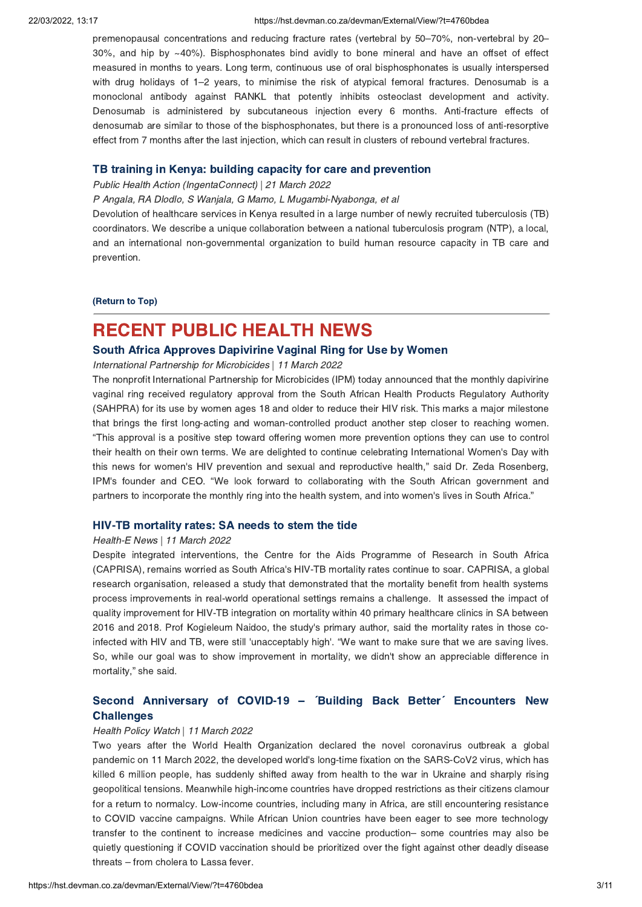#### 22/03/2022, 13:17 https://hst.devman.co.za/devman/External/View/?t=4760bdea

premenopausal concentrations and reducing fracture rates (vertebral by <sup>50</sup>–70%, non-vertebral by <sup>20</sup>– 30%, and hip by ~40%). Bisphosphonates bind avidly to bone mineral and have an offset of effect measured in months to years. Long term, continuous use of oral bisphosphonates is usually interspersed with drug holidays of 1–2 years, to minimise the risk of atypical femoral fractures. Denosumab is a monoclonal antibody against RANKL that potently inhibits osteoclast development and activity. Denosumab is administered by subcutaneous injection every 6 months. Anti-fracture effects of denosumab are similar to those of the bisphosphonates, but there is a pronounced loss of anti-resorptive effect from 7 months after the last injection, which can result in clusters of rebound vertebral fractures.

### TB training in Kenya: building capacity for care and [prevention](https://hst.devman.co.za/devman/external/?t=5a738556)

Public Health Action (IngentaConnect) | 21 March 2022

P Angala, RA Dlodlo, S Wanjala, G Mamo, L Mugambi-Nyabonga, et al

Devolution of healthcare services in Kenya resulted in a large number of newly recruited tuberculosis (TB) coordinators. We describe a unique collaboration between a national tuberculosis program (NTP), a local, and an international non-governmental organization to build human resource capacity in TB care and prevention.

[\(Return](#page-0-1) to Top)

# <span id="page-2-0"></span>RECENT PUBLIC HEALTH NEWS

# South Africa Approves [Dapivirine](https://hst.devman.co.za/devman/external/?t=8779ec3d) Vaginal Ring for Use by Women

International Partnership for Microbicides | 11 March 2022

The nonprofit International Partnership for Microbicides (IPM) today announced that the monthly dapivirine vaginal ring received regulatory approval from the South African Health Products Regulatory Authority (SAHPRA) for its use by women ages 18 and older to reduce their HIV risk. This marks a major milestone that brings the first long-acting and woman-controlled product another step closer to reaching women. "This approval is <sup>a</sup> positive step toward offering women more prevention options they can use to control their health on their own terms. We are delighted to continue celebrating International Women's Day with this news for women's HIV prevention and sexual and reproductive health," said Dr. Zeda Rosenberg, IPM's founder and CEO. "We look forward to collaborating with the South African government and partners to incorporate the monthly ring into the health system, and into women's lives in South Africa."

# HIV-TB [mortality](https://hst.devman.co.za/devman/external/?t=d84b369c) rates: SA needs to stem the tide

#### Health-E News | 11 March 2022

Despite integrated interventions, the Centre for the Aids Programme of Research in South Africa (CAPRISA), remains worried as South Africa's HIV-TB mortality rates continue to soar. CAPRISA, a global research organisation, released a study that demonstrated that the mortality benefit from health systems process improvements in real-world operational settings remains a challenge. It assessed the impact of quality improvement for HIV-TB integration on mortality within 40 primary healthcare clinics in SA between 2016 and 2018. Prof Kogieleum Naidoo, the study's primary author, said the mortality rates in those coinfected with HIV and TB, were still 'unacceptably high'. "We want to make sure that we are saving lives. So, while our goal was to show improvement in mortality, we didn't show an appreciable difference in mortality," she said.

# Second [Anniversary](https://hst.devman.co.za/devman/external/?t=a5f53e7a) of COVID-19 – ´Building Back Better´ Encounters New **Challenges**

#### Health Policy Watch | 11 March 2022

Two years after the World Health Organization declared the novel coronavirus outbreak a global pandemic on 11 March 2022, the developed world's long-time fixation on the SARS-CoV2 virus, which has killed 6 million people, has suddenly shifted away from health to the war in Ukraine and sharply rising geopolitical tensions. Meanwhile high-income countries have dropped restrictions as their citizens clamour for a return to normalcy. Low-income countries, including many in Africa, are still encountering resistance to COVID vaccine campaigns. While African Union countries have been eager to see more technology transfer to the continent to increase medicines and vaccine production– some countries may also be quietly questioning if COVID vaccination should be prioritized over the fight against other deadly disease threats – from cholera to Lassa fever.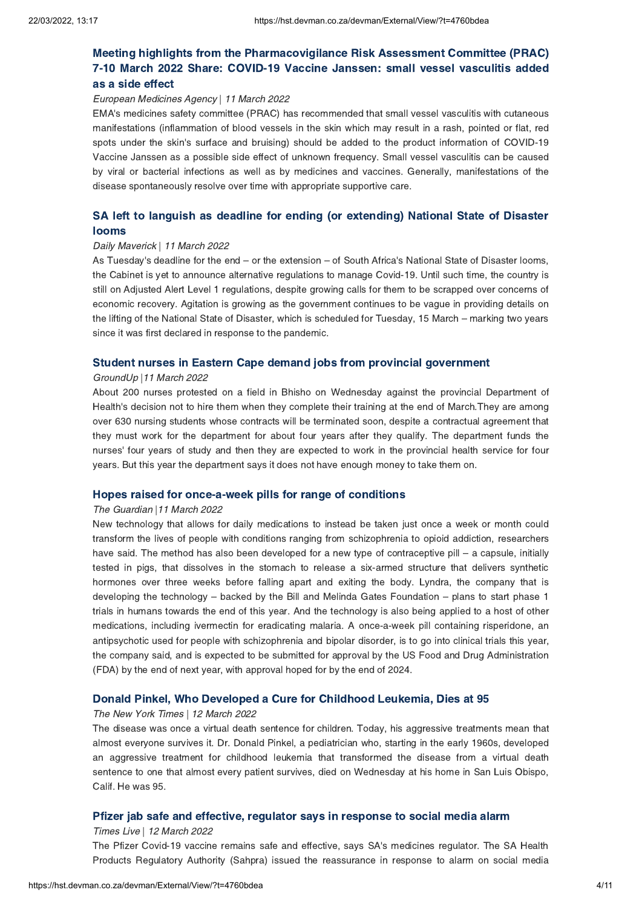# Meeting highlights from the [Pharmacovigilance](https://hst.devman.co.za/devman/external/?t=f6c688d9) Risk Assessment Committee (PRAC) 7-10 March 2022 Share: COVID-19 Vaccine Janssen: small vessel vasculitis added as a side effect

## European Medicines Agency | 11 March 2022

EMA's medicines safety committee (PRAC) has recommended that small vessel vasculitis with cutaneous manifestations (inflammation of blood vessels in the skin which may result in a rash, pointed or flat, red spots under the skin's surface and bruising) should be added to the product information of COVID-19 Vaccine Janssen as a possible side effect of unknown frequency. Small vessel vasculitis can be caused by viral or bacterial infections as well as by medicines and vaccines. Generally, manifestations of the disease spontaneously resolve over time with appropriate supportive care.

# SA left to languish as deadline for ending (or [extending\)](https://hst.devman.co.za/devman/external/?t=375a94b8) National State of Disaster looms

## Daily Maverick | 11 March 2022

As Tuesday's deadline for the end – or the extension – of South Africa's National State of Disaster looms, the Cabinet is yet to announce alternative regulations to manage Covid-19. Until such time, the country is still on Adjusted Alert Level 1 regulations, despite growing calls for them to be scrapped over concerns of economic recovery. Agitation is growing as the government continues to be vague in providing details on the lifting of the National State of Disaster, which is scheduled for Tuesday, <sup>15</sup> March – marking two years since it was first declared in response to the pandemic.

# Student nurses in Eastern Cape demand jobs from provincial [government](https://hst.devman.co.za/devman/external/?t=fed9a117)

## GroundUp |11 March 2022

About 200 nurses protested on a field in Bhisho on Wednesday against the provincial Department of Health's decision not to hire them when they complete their training at the end of March.They are among over 630 nursing students whose contracts will be terminated soon, despite a contractual agreement that they must work for the department for about four years after they qualify. The department funds the nurses' four years of study and then they are expected to work in the provincial health service for four years. But this year the department says it does not have enough money to take them on.

# Hopes raised for [once-a-week](https://hst.devman.co.za/devman/external/?t=c66a8dfe) pills for range of conditions

# The Guardian |11 March 2022

New technology that allows for daily medications to instead be taken just once a week or month could transform the lives of people with conditions ranging from schizophrenia to opioid addiction, researchers have said. The method has also been developed for a new type of contraceptive pill – a capsule, initially tested in pigs, that dissolves in the stomach to release a six-armed structure that delivers synthetic hormones over three weeks before falling apart and exiting the body. Lyndra, the company that is developing the technology – backed by the Bill and Melinda Gates Foundation – plans to start phase <sup>1</sup> trials in humans towards the end of this year. And the technology is also being applied to a host of other medications, including ivermectin for eradicating malaria. A once-a-week pill containing risperidone, an antipsychotic used for people with schizophrenia and bipolar disorder, is to go into clinical trials this year, the company said, and is expected to be submitted for approval by the US Food and Drug Administration (FDA) by the end of next year, with approval hoped for by the end of 2024.

# Donald Pinkel, Who [Developed](https://hst.devman.co.za/devman/external/?t=173bd85d) a Cure for Childhood Leukemia, Dies at 95

### The New York Times | 12 March 2022

The disease was once a virtual death sentence for children. Today, his aggressive treatments mean that almost everyone survives it. Dr. Donald Pinkel, a pediatrician who, starting in the early 1960s, developed an aggressive treatment for childhood leukemia that transformed the disease from a virtual death sentence to one that almost every patient survives, died on Wednesday at his home in San Luis Obispo, Calif. He was 95.

# Pfizer jab safe and effective, regulator says in [response](https://hst.devman.co.za/devman/external/?t=57cfe43c) to social media alarm

# Times Live | 12 March 2022

The Pfizer Covid-19 vaccine remains safe and effective, says SA's medicines regulator. The SA Health Products Regulatory Authority (Sahpra) issued the reassurance in response to alarm on social media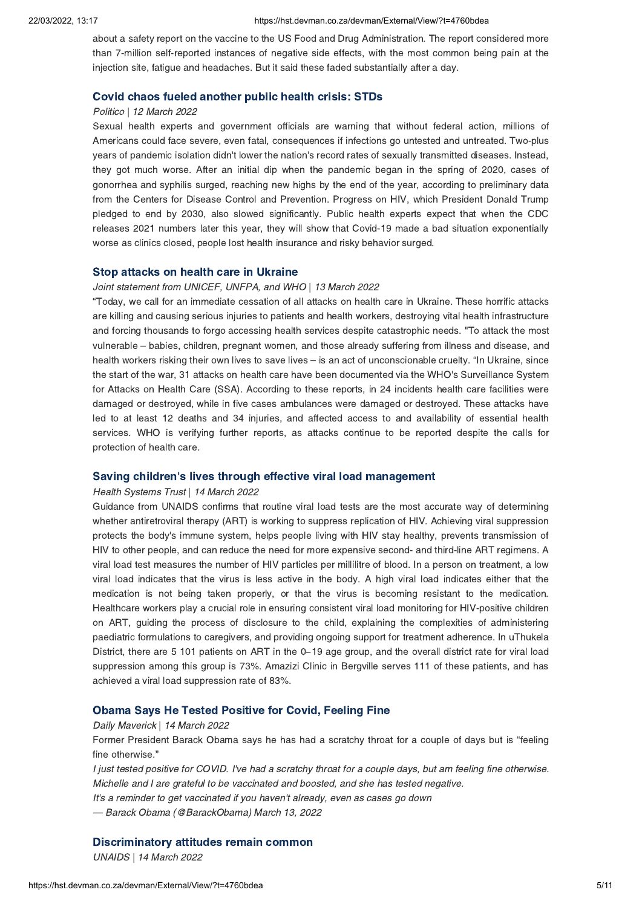about a safety report on the vaccine to the US Food and Drug Administration. The report considered more than 7-million self-reported instances of negative side effects, with the most common being pain at the injection site, fatigue and headaches. But it said these faded substantially after a day.

## Covid chaos fueled [another](https://hst.devman.co.za/devman/external/?t=1f4ef09b) public health crisis: STDs

# Politico | 12 March 2022

Sexual health experts and government officials are warning that without federal action, millions of Americans could face severe, even fatal, consequences if infections go untested and untreated. Two-plus years of pandemic isolation didn't lower the nation's record rates of sexually transmitted diseases. Instead, they got much worse. After an initial dip when the pandemic began in the spring of 2020, cases of gonorrhea and syphilis surged, reaching new highs by the end of the year, according to preliminary data from the Centers for Disease Control and Prevention. Progress on HIV, which President Donald Trump pledged to end by 2030, also slowed significantly. Public health experts expect that when the CDC releases 2021 numbers later this year, they will show that Covid-19 made a bad situation exponentially worse as clinics closed, people lost health insurance and risky behavior surged.

### Stop attacks on health care in [Ukraine](https://hst.devman.co.za/devman/external/?t=4c555782)

#### Joint statement from UNICEF, UNFPA, and WHO | 13 March 2022

"Today, we call for an immediate cessation of all attacks on health care in Ukraine. These horrific attacks are killing and causing serious injuries to patients and health workers, destroying vital health infrastructure and forcing thousands to forgo accessing health services despite catastrophic needs. "To attack the most vulnerable – babies, children, pregnant women, and those already suffering from illness and disease, and health workers risking their own lives to save lives – is an act of unconscionable cruelty. "In Ukraine, since the start of the war, 31 attacks on health care have been documented via the WHO's Surveillance System for Attacks on Health Care (SSA). According to these reports, in 24 incidents health care facilities were damaged or destroyed, while in five cases ambulances were damaged or destroyed. These attacks have led to at least 12 deaths and 34 injuries, and affected access to and availability of essential health services. WHO is verifying further reports, as attacks continue to be reported despite the calls for protection of health care.

# Saving children's lives through effective viral load [management](https://hst.devman.co.za/devman/external/?t=9d26a1e1)

#### Health Systems Trust | 14 March 2022

Guidance from UNAIDS confirms that routine viral load tests are the most accurate way of determining whether antiretroviral therapy (ART) is working to suppress replication of HIV. Achieving viral suppression protects the body's immune system, helps people living with HIV stay healthy, prevents transmission of HIV to other people, and can reduce the need for more expensive second- and third-line ART regimens. A viral load test measures the number of HIV particles per millilitre of blood. In a person on treatment, a low viral load indicates that the virus is less active in the body. A high viral load indicates either that the medication is not being taken properly, or that the virus is becoming resistant to the medication. Healthcare workers play a crucial role in ensuring consistent viral load monitoring for HIV-positive children on ART, guiding the process of disclosure to the child, explaining the complexities of administering paediatric formulations to caregivers, and providing ongoing support for treatment adherence. In uThukela District, there are <sup>5</sup> <sup>101</sup> patients on ART in the <sup>0</sup>−19 age group, and the overall district rate for viral load suppression among this group is 73%. Amazizi Clinic in Bergville serves 111 of these patients, and has achieved a viral load suppression rate of 83%.

### Obama Says He Tested [Positive](https://hst.devman.co.za/devman/external/?t=6636b62b) for Covid, Feeling Fine

#### Daily Maverick | 14 March 2022

Former President Barack Obama says he has had <sup>a</sup> scratchy throat for <sup>a</sup> couple of days but is "feeling fine otherwise."

I just tested positive for COVID. I've had a scratchy throat for a couple days, but am feeling fine otherwise. Michelle and I are grateful to be vaccinated and boosted, and she has tested negative.

It's a reminder to get vaccinated if you haven't already, even as cases go down

— Barack Obama (@BarackObama) March 13, 2022

## [Discriminatory](https://hst.devman.co.za/devman/external/?t=b708008a) attitudes remain common

UNAIDS | 14 March 2022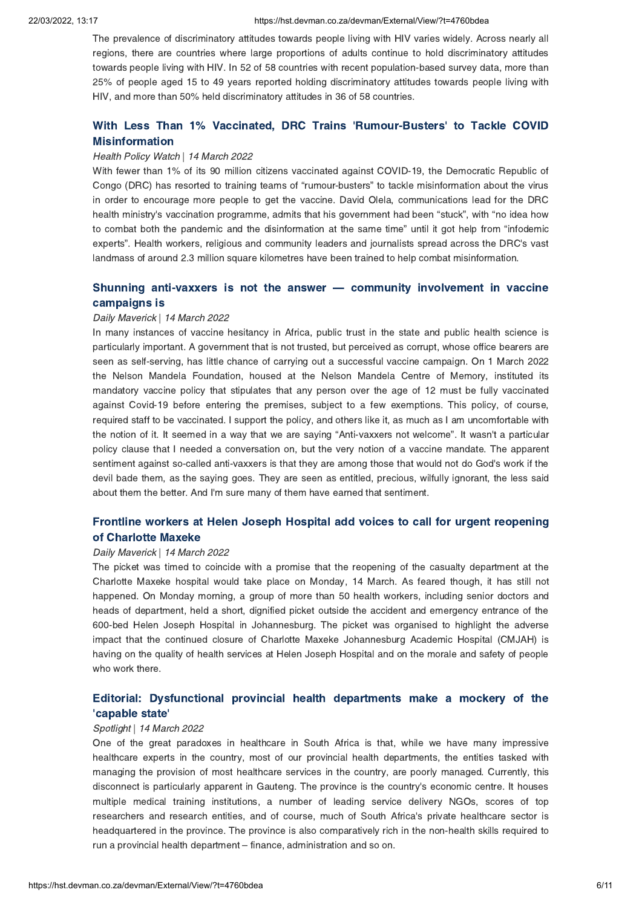The prevalence of discriminatory attitudes towards people living with HIV varies widely. Across nearly all regions, there are countries where large proportions of adults continue to hold discriminatory attitudes towards people living with HIV. In 52 of 58 countries with recent population-based survey data, more than 25% of people aged 15 to 49 years reported holding discriminatory attitudes towards people living with HIV, and more than 50% held discriminatory attitudes in 36 of 58 countries.

# With Less Than 1% Vaccinated, DRC Trains ['Rumour-Busters'](https://hst.devman.co.za/devman/external/?t=f79c0c69) to Tackle COVID Misinformation

#### Health Policy Watch | 14 March 2022

With fewer than 1% of its 90 million citizens vaccinated against COVID-19, the Democratic Republic of Congo (DRC) has resorted to training teams of "rumour-busters" to tackle misinformation about the virus in order to encourage more people to get the vaccine. David Olela, communications lead for the DRC health ministry's vaccination programme, admits that his government had been "stuck", with "no idea how to combat both the pandemic and the disinformation at the same time" until it got help from "infodemic experts". Health workers, religious and community leaders and journalists spread across the DRC's vast landmass of around 2.3 million square kilometres have been trained to help combat misinformation.

# Shunning [anti-vaxxers](https://hst.devman.co.za/devman/external/?t=bf1b18c8) is not the answer — community involvement in vaccine campaigns is

#### Daily Maverick | 14 March 2022

In many instances of vaccine hesitancy in Africa, public trust in the state and public health science is particularly important. A government that is not trusted, but perceived as corrupt, whose office bearers are seen as self-serving, has little chance of carrying out a successful vaccine campaign. On 1 March 2022 the Nelson Mandela Foundation, housed at the Nelson Mandela Centre of Memory, instituted its mandatory vaccine policy that stipulates that any person over the age of 12 must be fully vaccinated against Covid-19 before entering the premises, subject to a few exemptions. This policy, of course, required staff to be vaccinated. I support the policy, and others like it, as much as I am uncomfortable with the notion of it. It seemed in <sup>a</sup> way that we are saying "Anti-vaxxers not welcome". It wasn't <sup>a</sup> particular policy clause that I needed a conversation on, but the very notion of a vaccine mandate. The apparent sentiment against so-called anti-vaxxers is that they are among those that would not do God's work if the devil bade them, as the saying goes. They are seen as entitled, precious, wilfully ignorant, the less said about them the better. And I'm sure many of them have earned that sentiment.

# Frontline workers at Helen Joseph Hospital add voices to call for urgent reopening of [Charlotte](https://hst.devman.co.za/devman/external/?t=86ac05af) Maxeke

#### Daily Maverick | 14 March 2022

The picket was timed to coincide with a promise that the reopening of the casualty department at the Charlotte Maxeke hospital would take place on Monday, 14 March. As feared though, it has still not happened. On Monday morning, a group of more than 50 health workers, including senior doctors and heads of department, held a short, dignified picket outside the accident and emergency entrance of the 600-bed Helen Joseph Hospital in Johannesburg. The picket was organised to highlight the adverse impact that the continued closure of Charlotte Maxeke Johannesburg Academic Hospital (CMJAH) is having on the quality of health services at Helen Joseph Hospital and on the morale and safety of people who work there.

# Editorial: [Dysfunctional](https://hst.devman.co.za/devman/external/?t=d77d500e) provincial health departments make a mockery of the 'capable state'

#### Spotlight | 14 March 2022

One of the great paradoxes in healthcare in South Africa is that, while we have many impressive healthcare experts in the country, most of our provincial health departments, the entities tasked with managing the provision of most healthcare services in the country, are poorly managed. Currently, this disconnect is particularly apparent in Gauteng. The province is the country's economic centre. It houses multiple medical training institutions, a number of leading service delivery NGOs, scores of top researchers and research entities, and of course, much of South Africa's private healthcare sector is headquartered in the province. The province is also comparatively rich in the non-health skills required to run <sup>a</sup> provincial health department – finance, administration and so on.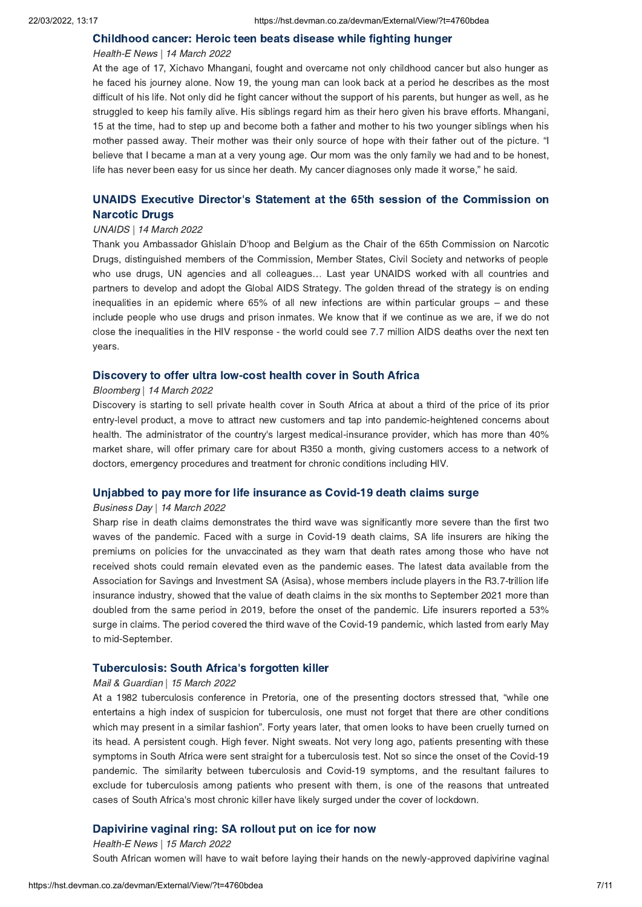#### [Childhood](https://hst.devman.co.za/devman/external/?t=18115bed) cancer: Heroic teen beats disease while fighting hunger

### Health-E News | 14 March 2022

At the age of 17, Xichavo Mhangani, fought and overcame not only childhood cancer but also hunger as he faced his journey alone. Now 19, the young man can look back at a period he describes as the most difficult of his life. Not only did he fight cancer without the support of his parents, but hunger as well, as he struggled to keep his family alive. His siblings regard him as their hero given his brave efforts. Mhangani, 15 at the time, had to step up and become both a father and mother to his two younger siblings when his mother passed away. Their mother was their only source of hope with their father out of the picture. "I believe that I became a man at a very young age. Our mom was the only family we had and to be honest, life has never been easy for us since her death. My cancer diagnoses only made it worse," he said.

# UNAIDS Executive Director's Statement at the 65th session of the [Commission](https://hst.devman.co.za/devman/external/?t=df90684c) on Narcotic Drugs

#### UNAIDS | 14 March 2022

Thank you Ambassador Ghislain D'hoop and Belgium as the Chair of the 65th Commission on Narcotic Drugs, distinguished members of the Commission, Member States, Civil Society and networks of people who use drugs, UN agencies and all colleagues… Last year UNAIDS worked with all countries and partners to develop and adopt the Global AIDS Strategy. The golden thread of the strategy is on ending inequalities in an epidemic where 65% of all new infections are within particular groups – and these include people who use drugs and prison inmates. We know that if we continue as we are, if we do not close the inequalities in the HIV response - the world could see 7.7 million AIDS deaths over the next ten years.

## [Discovery](https://hst.devman.co.za/devman/external/?t=c96cf33) to offer ultra low-cost health cover in South Africa

#### Bloomberg | 14 March 2022

Discovery is starting to sell private health cover in South Africa at about a third of the price of its prior entry-level product, a move to attract new customers and tap into pandemic-heightened concerns about health. The administrator of the country's largest medical-insurance provider, which has more than 40% market share, will offer primary care for about R350 a month, giving customers access to a network of doctors, emergency procedures and treatment for chronic conditions including HIV.

## Unjabbed to pay more for life [insurance](https://hst.devman.co.za/devman/external/?t=5d681992) as Covid-19 death claims surge

#### Business Day | 14 March 2022

Sharp rise in death claims demonstrates the third wave was significantly more severe than the first two waves of the pandemic. Faced with a surge in Covid-19 death claims, SA life insurers are hiking the premiums on policies for the unvaccinated as they warn that death rates among those who have not received shots could remain elevated even as the pandemic eases. The latest data available from the Association for Savings and Investment SA (Asisa), whose members include players in the R3.7-trillion life insurance industry, showed that the value of death claims in the six months to September 2021 more than doubled from the same period in 2019, before the onset of the pandemic. Life insurers reported a 53% surge in claims. The period covered the third wave of the Covid-19 pandemic, which lasted from early May to mid-September.

## [Tuberculosis:](https://hst.devman.co.za/devman/external/?t=f7328670) South Africa's forgotten killer

#### Mail & Guardian | 15 March 2022

At <sup>a</sup> <sup>1982</sup> tuberculosis conference in Pretoria, one of the presenting doctors stressed that, "while one entertains a high index of suspicion for tuberculosis, one must not forget that there are other conditions which may present in <sup>a</sup> similar fashion". Forty years later, that omen looks to have been cruelly turned on its head. A persistent cough. High fever. Night sweats. Not very long ago, patients presenting with these symptoms in South Africa were sent straight for a tuberculosis test. Not so since the onset of the Covid-19 pandemic. The similarity between tuberculosis and Covid-19 symptoms, and the resultant failures to exclude for tuberculosis among patients who present with them, is one of the reasons that untreated cases of South Africa's most chronic killer have likely surged under the cover of lockdown.

## [Dapivirine](https://hst.devman.co.za/devman/external/?t=4803d0cf) vaginal ring: SA rollout put on ice for now

#### Health-E News | 15 March 2022

South African women will have to wait before laying their hands on the newly-approved dapivirine vaginal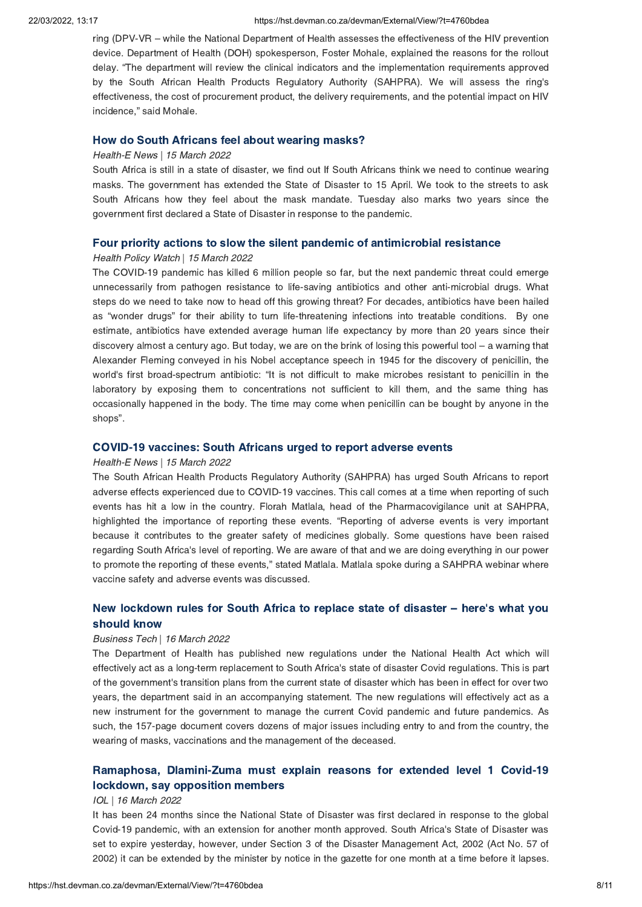#### 22/03/2022, 13:17 https://hst.devman.co.za/devman/External/View/?t=4760bdea

ring (DPV-VR – while the National Department of Health assesses the effectiveness of the HIV prevention device. Department of Health (DOH) spokesperson, Foster Mohale, explained the reasons for the rollout delay. "The department will review the clinical indicators and the implementation requirements approved by the South African Health Products Regulatory Authority (SAHPRA). We will assess the ring's effectiveness, the cost of procurement product, the delivery requirements, and the potential impact on HIV incidence," said Mohale.

### How do South [Africans](https://hst.devman.co.za/devman/external/?t=8897dcae) feel about wearing masks?

#### Health-E News | 15 March 2022

South Africa is still in a state of disaster, we find out If South Africans think we need to continue wearing masks. The government has extended the State of Disaster to 15 April. We took to the streets to ask South Africans how they feel about the mask mandate. Tuesday also marks two years since the government first declared a State of Disaster in response to the pandemic.

## Four priority actions to slow the silent pandemic of [antimicrobial](https://hst.devman.co.za/devman/external/?t=5016e90d) resistance

# Health Policy Watch | 15 March 2022

The COVID-19 pandemic has killed 6 million people so far, but the next pandemic threat could emerge unnecessarily from pathogen resistance to life-saving antibiotics and other anti-microbial drugs. What steps do we need to take now to head off this growing threat? For decades, antibiotics have been hailed as "wonder drugs" for their ability to turn life-threatening infections into treatable conditions. By one estimate, antibiotics have extended average human life expectancy by more than 20 years since their discovery almost <sup>a</sup> century ago. But today, we are on the brink of losing this powerful tool – <sup>a</sup> warning that Alexander Fleming conveyed in his Nobel acceptance speech in 1945 for the discovery of penicillin, the world's first broad-spectrum antibiotic: "It is not difficult to make microbes resistant to penicillin in the laboratory by exposing them to concentrations not sufficient to kill them, and the same thing has occasionally happened in the body. The time may come when penicillin can be bought by anyone in the shops".

## COVID-19 [vaccines:](https://hst.devman.co.za/devman/external/?t=17a7d5f4) South Africans urged to report adverse events

### Health-E News | 15 March 2022

The South African Health Products Regulatory Authority (SAHPRA) has urged South Africans to report adverse effects experienced due to COVID-19 vaccines. This call comes at a time when reporting of such events has hit a low in the country. Florah Matlala, head of the Pharmacovigilance unit at SAHPRA, highlighted the importance of reporting these events. "Reporting of adverse events is very important because it contributes to the greater safety of medicines globally. Some questions have been raised regarding South Africa's level of reporting. We are aware of that and we are doing everything in our power to promote the reporting of these events," stated Matlala. Matlala spoke during <sup>a</sup> SAHPRA webinar where vaccine safety and adverse events was discussed.

# New [lockdown](https://hst.devman.co.za/devman/external/?t=68792053) rules for South Africa to replace state of disaster – here's what you should know

## Business Tech | 16 March 2022

The Department of Health has published new regulations under the National Health Act which will effectively act as a long-term replacement to South Africa's state of disaster Covid regulations. This is part of the government's transition plans from the current state of disaster which has been in effect for over two years, the department said in an accompanying statement. The new regulations will effectively act as a new instrument for the government to manage the current Covid pandemic and future pandemics. As such, the 157-page document covers dozens of major issues including entry to and from the country, the wearing of masks, vaccinations and the management of the deceased.

# Ramaphosa, [Dlamini-Zuma](https://hst.devman.co.za/devman/external/?t=a90d2c32) must explain reasons for extended level 1 Covid-19 lockdown, say opposition members

#### IOL | 16 March 2022

It has been 24 months since the National State of Disaster was first declared in response to the global Covid-19 pandemic, with an extension for another month approved. South Africa's State of Disaster was set to expire yesterday, however, under Section 3 of the Disaster Management Act, 2002 (Act No. 57 of 2002) it can be extended by the minister by notice in the gazette for one month at a time before it lapses.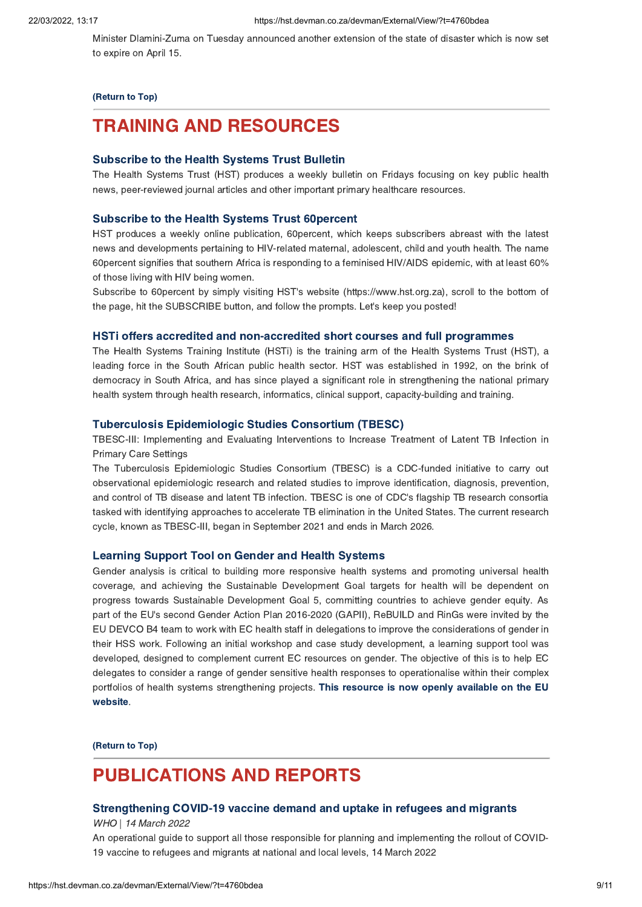Minister Dlamini-Zuma on Tuesday announced another extension of the state of disaster which is now set to expire on April 15.

## [\(Return](#page-0-1) to Top)

# <span id="page-8-0"></span>TRAINING AND RESOURCES

## [Subscribe](https://hst.devman.co.za/devman/external/?t=708c3891) to the Health Systems Trust Bulletin

The Health Systems Trust (HST) produces a weekly bulletin on Fridays focusing on key public health news, peer-reviewed journal articles and other important primary healthcare resources.

### [Subscribe](https://hst.devman.co.za/devman/external/?t=708c3891) to the Health Systems Trust 60percent

HST produces a weekly online publication, 60percent, which keeps subscribers abreast with the latest news and developments pertaining to HIV-related maternal, adolescent, child and youth health. The name 60percent signifies that southern Africa is responding to a feminised HIV/AIDS epidemic, with at least 60% of those living with HIV being women.

Subscribe to 60percent by simply visiting HST's website (https://www.hst.org.za), scroll to the bottom of the page, hit the SUBSCRIBE button, and follow the prompts. Let's keep you posted!

## HSTi offers accredited and [non-accredited](https://hst.devman.co.za/devman/external/?t=9d929f78) short courses and full programmes

The Health Systems Training Institute (HSTi) is the training arm of the Health Systems Trust (HST), a leading force in the South African public health sector. HST was established in 1992, on the brink of democracy in South Africa, and has since played a significant role in strengthening the national primary health system through health research, informatics, clinical support, capacity-building and training.

# Tuberculosis [Epidemiologic](https://hst.devman.co.za/devman/external/?t=ee63e9d7) Studies Consortium (TBESC)

TBESC-III: Implementing and Evaluating Interventions to Increase Treatment of Latent TB Infection in Primary Care Settings

The Tuberculosis Epidemiologic Studies Consortium (TBESC) is a CDC-funded initiative to carry out observational epidemiologic research and related studies to improve identification, diagnosis, prevention, and control of TB disease and latent TB infection. TBESC is one of CDC's flagship TB research consortia tasked with identifying approaches to accelerate TB elimination in the United States. The current research cycle, known as TBESC-III, began in September 2021 and ends in March 2026.

#### [Learning](https://hst.devman.co.za/devman/external/?t=16742321) Support Tool on Gender and Health Systems

Gender analysis is critical to building more responsive health systems and promoting universal health coverage, and achieving the Sustainable Development Goal targets for health will be dependent on progress towards Sustainable Development Goal 5, committing countries to achieve gender equity. As part of the EU's second Gender Action Plan 2016-2020 (GAPII), ReBUILD and RinGs were invited by the EU DEVCO B4 team to work with EC health staff in delegations to improve the considerations of gender in their HSS work. Following an initial workshop and case study development, a learning support tool was developed, designed to complement current EC resources on gender. The objective of this is to help EC delegates to consider a range of gender sensitive health responses to operationalise within their complex portfolios of health systems [strengthening](https://hst.devman.co.za/devman/external/?t=67456d80) projects. This resource is now openly available on the EU website.

[\(Return](#page-0-1) to Top)

# PUBLICATIONS AND REPORTS

# [Strengthening](https://hst.devman.co.za/devman/external/?t=a7d9795f) COVID-19 vaccine demand and uptake in refugees and migrants

WHO | 14 March 2022

An operational guide to support all those responsible for planning and implementing the rollout of COVID-19 vaccine to refugees and migrants at national and local levels, 14 March 2022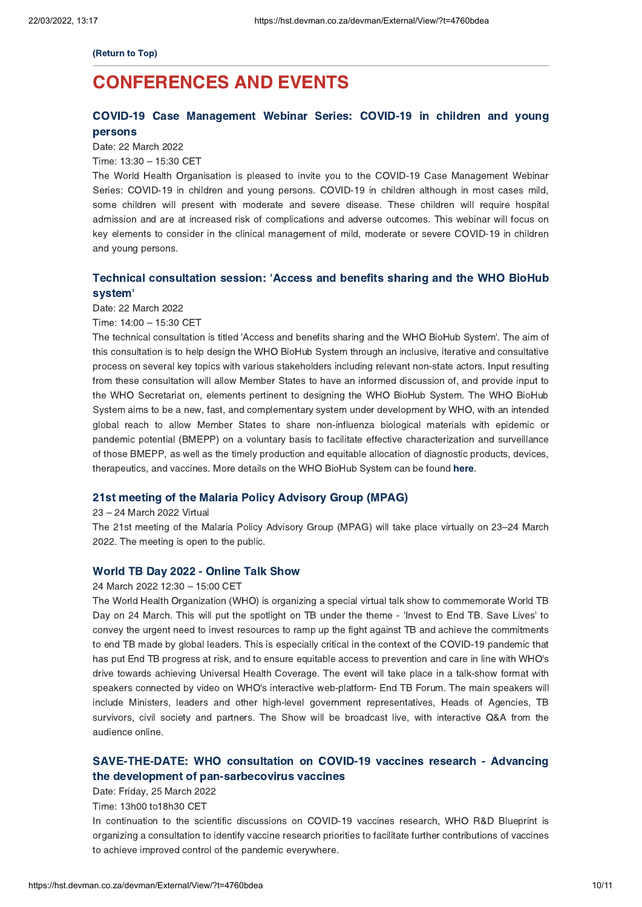[\(Return](#page-0-1) to Top)

# <span id="page-9-0"></span>CONFERENCES AND EVENTS

# COVID-19 Case [Management](https://hst.devman.co.za/devman/external/?t=6f5885be) Webinar Series: COVID-19 in children and young persons

Date: 22 March 2022

Time: 13:30 – 15:30 CET

The World Health Organisation is pleased to invite you to the COVID-19 Case Management Webinar Series: COVID-19 in children and young persons. COVID-19 in children although in most cases mild, some children will present with moderate and severe disease. These children will require hospital admission and are at increased risk of complications and adverse outcomes. This webinar will focus on key elements to consider in the clinical management of mild, moderate or severe COVID-19 in children and young persons.

# Technical [consultation](https://hst.devman.co.za/devman/external/?t=36e972a5) session: 'Access and benefits sharing and the WHO BioHub system'

Date: 22 March 2022

Time: 14:00 – 15:30 CET

The technical consultation is titled 'Access and benefits sharing and the WHO BioHub System'. The aim of this consultation is to help design the WHO BioHub System through an inclusive, iterative and consultative process on several key topics with various stakeholders including relevant non-state actors. Input resulting from these consultation will allow Member States to have an informed discussion of, and provide input to the WHO Secretariat on, elements pertinent to designing the WHO BioHub System. The WHO BioHub System aims to be a new, fast, and complementary system under development by WHO, with an intended global reach to allow Member States to share non-influenza biological materials with epidemic or pandemic potential (BMEPP) on a voluntary basis to facilitate effective characterization and surveillance of those BMEPP, as well as the timely production and equitable allocation of diagnostic products, devices, therapeutics, and vaccines. More details on the WHO BioHub System can be found [here](https://hst.devman.co.za/devman/external/?t=87babd04).

### 21st meeting of the Malaria Policy [Advisory](https://hst.devman.co.za/devman/external/?t=c84ec8e3) Group (MPAG)

#### <sup>23</sup> – <sup>24</sup> March <sup>2022</sup> Virtual

The 21st meeting of the Malaria Policy Advisory Group (MPAG) will take place virtually on <sup>23</sup>–24 March 2022. The meeting is open to the public.

## World TB Day 2022 - [Online](https://hst.devman.co.za/devman/external/?t=8fcdd542) Talk Show

#### <sup>24</sup> March <sup>2022</sup> 12:30 – 15:00 CET

The World Health Organization (WHO) is organizing a special virtual talk show to commemorate World TB Day on 24 March. This will put the spotlight on TB under the theme - 'Invest to End TB. Save Lives' to convey the urgent need to invest resources to ramp up the fight against TB and achieve the commitments to end TB made by global leaders. This is especially critical in the context of the COVID-19 pandemic that has put End TB progress at risk, and to ensure equitable access to prevention and care in line with WHO's drive towards achieving Universal Health Coverage. The event will take place in a talk-show format with speakers connected by video on WHO's interactive web-platform- End TB Forum. The main speakers will include Ministers, leaders and other high-level government representatives, Heads of Agencies, TB survivors, civil society and partners. The Show will be broadcast live, with interactive Q&A from the audience online.

# SAVE-THE-DATE: WHO consultation on COVID-19 vaccines research - Advancing the development of [pan-sarbecovirus](https://hst.devman.co.za/devman/external/?t=bcd43c29) vaccines

Date: Friday, 25 March 2022

Time: 13h00 to18h30 CET

In continuation to the scientific discussions on COVID-19 vaccines research, WHO R&D Blueprint is organizing a consultation to identify vaccine research priorities to facilitate further contributions of vaccines to achieve improved control of the pandemic everywhere.